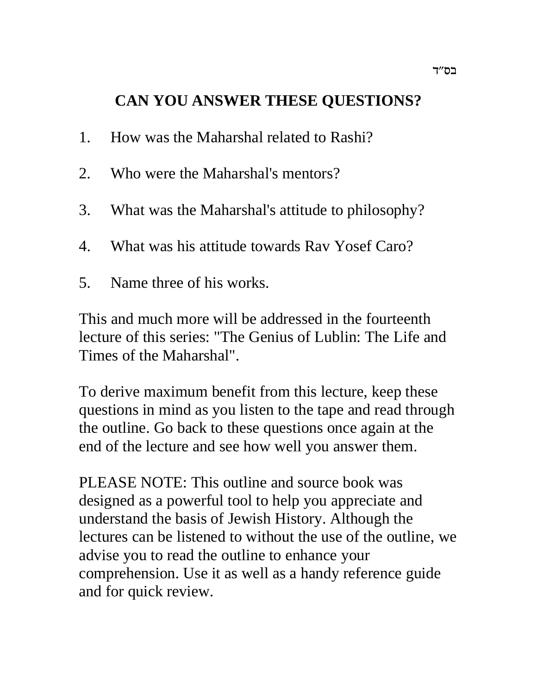# **CAN YOU ANSWER THESE QUESTIONS?**

- 1. How was the Maharshal related to Rashi?
- 2. Who were the Maharshal's mentors?
- 3. What was the Maharshal's attitude to philosophy?
- 4. What was his attitude towards Rav Yosef Caro?
- 5. Name three of his works.

This and much more will be addressed in the fourteenth lecture of this series: "The Genius of Lublin: The Life and Times of the Maharshal".

To derive maximum benefit from this lecture, keep these questions in mind as you listen to the tape and read through the outline. Go back to these questions once again at the end of the lecture and see how well you answer them.

PLEASE NOTE: This outline and source book was designed as a powerful tool to help you appreciate and understand the basis of Jewish History. Although the lectures can be listened to without the use of the outline, we advise you to read the outline to enhance your comprehension. Use it as well as a handy reference guide and for quick review.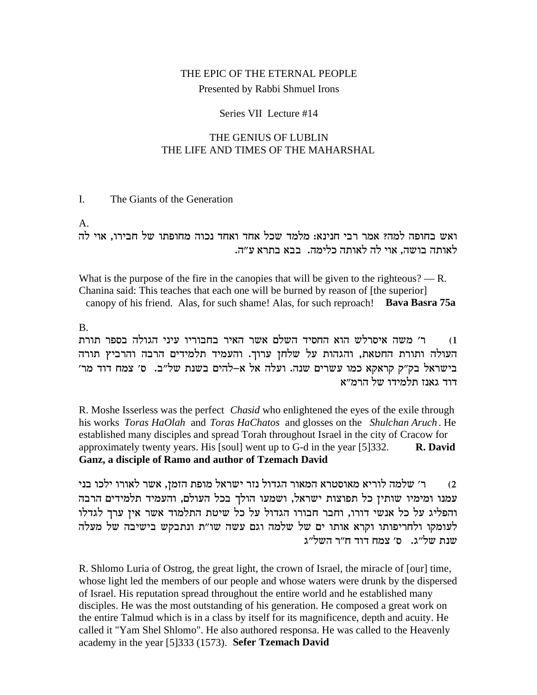# THE EPIC OF THE ETERNAL PEOPLE Presented by Rabbi Shmuel Irons

#### Series VII Lecture #14

#### THE GENIUS OF LUBLIN THE LIFE AND TIMES OF THE MAHARSHAL

#### The Giants of the Generation I.

 $A_{\cdot}$ 

ואש בחופה למה? אמר רבי חנינא: מלמד שכל אחד ואחד נכוה מחופתו של חבירו, אוי לה לאותה בושה, אוי לה לאותה כלימה. בבא בתרא ע״ה.

What is the purpose of the fire in the canopies that will be given to the righteous?  $- R$ . Chanina said: This teaches that each one will be burned by reason of [the superior] canopy of his friend. Alas, for such shame! Alas, for such reproach! Bava Basra 75a

**B.** 

ר׳ משה איסרלש הוא החסיד השלם אשר האיר בחבוריו עיני הגולה בספר תורת  $(1)$ העולה ותורת החטאת, והגהות על שלחן ערוך. והעמיד תלמידים הרבה והרביץ תורה בישראל בק״ק קראקא כמו עשרים שנה. ועלה אל א–להים בשנת של״ב. ס׳ צמח דוד מר׳ דוד גאנז תלמידו של הרמ״א

R. Moshe Isserless was the perfect *Chasid* who enlightened the eyes of the exile through his works Toras HaOlah and Toras HaChatos and glosses on the Shulchan Aruch. He established many disciples and spread Torah throughout Israel in the city of Cracow for approximately twenty years. His [soul] went up to G-d in the year [5] 332. R. David Ganz, a disciple of Ramo and author of Tzemach David

ר׳ שלמה לוריא מאוסטרא המאור הגדול נזר ישראל מופת הזמן, אשר לאורו ילכו בני  $(2)$ עמנו ומימיו שותין כל תפוצות ישראל, ושמעו הולך בכל העולם, והעמיד תלמידים הרבה והפליג על כל אנשי דורו, וחבר חבורו הגדול על כל שיטת התלמוד אשר איז ערך לגדלו לעומקו ולחריפותו וקרא אותו ים של שלמה וגם עשה שו"ת ונתבקש בישיבה של מעלה שנת של"ג. ס' צמח דוד ח"ר השל"ג

R. Shlomo Luria of Ostrog, the great light, the crown of Israel, the miracle of [our] time, whose light led the members of our people and whose waters were drunk by the dispersed of Israel. His reputation spread throughout the entire world and he established many disciples. He was the most outstanding of his generation. He composed a great work on the entire Talmud which is in a class by itself for its magnificence, depth and acuity. He called it "Yam Shel Shlomo". He also authored responsa. He was called to the Heavenly academy in the year [5]333 (1573). Sefer Tzemach David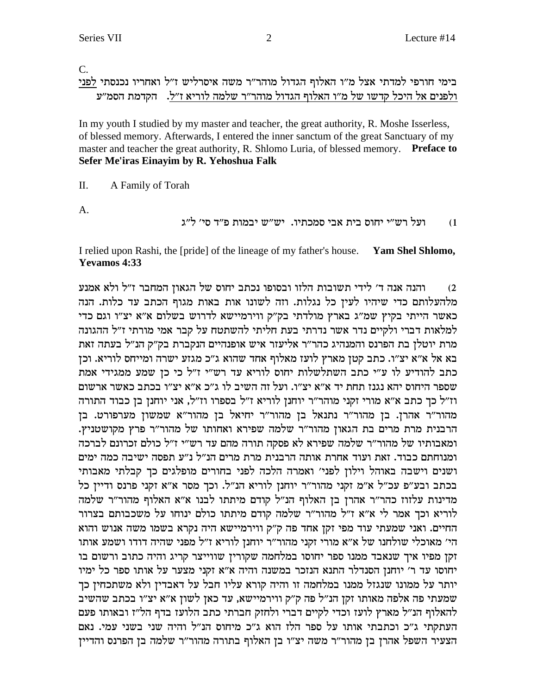$\mathbf{C}$ .

בימי חורפי למדתי אצל מ״ו האלוף הגדול מוהר״ר משה איסרליש ז״ל ואחריו נכנסתי לפני ולפנים אל היכל קדשו של מ"ו האלוף הגדול מוהר"ר שלמה לוריא ז"ל. הקדמת הסמ"ע

In my youth I studied by my master and teacher, the great authority, R. Moshe Isserless, of blessed memory. Afterwards, I entered the inner sanctum of the great Sanctuary of my master and teacher the great authority, R. Shlomo Luria, of blessed memory. Preface to Sefer Me'iras Einayim by R. Yehoshua Falk

 $\Pi$ . A Family of Torah

 $\mathbf{A}$ .

ועל רש״י יחוס בית אבי סמכתיו. יש״ש יבמות פ״ד סי׳ ל״ג  $(1)$ 

I relied upon Rashi, the [pride] of the lineage of my father's house. Yam Shel Shlomo, **Yevamos** 4:33

והנה אנה ד׳ לידי תשובות הלזו ובסופו נכתב יחוס של הגאון המחבר ז״ל ולא אמנע  $(2)$ מלהעלותם כדי שיהיו לעין כל נגלות. וזה לשונו אות באות מגוף הכתב עד כלות. הנה כאשר הייתי בקיץ שמ"ג בארץ מולדתי בק"ק ווירמיישא לדרוש בשלום א"א יצ"ו וגם כדי למלאות דברי ולקיים נדר אשר נדרתי בעת חליתי להשתטח על קבר אמי מורתי ז"ל ההגונה מרת יוטלן בת הפרנס והמנהיג כהר"ר אליעזר איש אופנהיים הנקברת בק"ק הנ"ל בעתה זאת בא אל א״א יצ״ו. כתב קטן מארץ לועז מאלוף אחד שהוא ג״כ מגזע ישרה ומייחס לוריא. וכן כתב להודיע לו ע״י כתב השתלשלות יחוס לוריא עד רש״י ז״ל כי כן שמע ממגידי אמת שספר היחוס יהא נגנז תחת יד א״א יצ״ו. ועל זה השיב לו ג״כ א״א יצ״ו בכתב כאשר ארשום וז"ל כך כתב א"א מורי זקני מוהר"ר יוחנז לוריא ז"ל בספרו וז"ל, אני יוחנז בז כבוד התורה מהור"ר אהרן. בן מהור"ר נתנאל בן מהור"ר יחיאל בן מהור"א שמשון מערפורט. בן הרבנית מרת מרים בת הגאון מהור"ר שלמה שפירא ואחותו של מהור"ר פרץ מקושטניץ. ומאבותיו של מהור"ר שלמה שפירא לא פסקה תורה מהם עד רש"י ז"ל כולם זכרונם לברכה ומנוחתם כבוד. זאת ועוד אחרת אותה הרבנית מרת מרים הנ"ל נ"ע תפסה ישיבה כמה ימים ושנים וישבה באוהל וילון לפני׳ ואמרה הלכה לפני בחורים מופלגים כך קבלתי מאבותי בכתב ובע"פ עכ"ל א"מ זקני מהור"ר יוחנן לוריא הנ"ל. וכך מסר א"א זקני פרנס ודיין כל מדינות עלזוז כהר"ר אהרן בן האלוף הנ"ל קודם מיתתו לבנו א"א האלוף מהור"ר שלמה לוריא וכך אמר לי א"א ז"ל מהור"ר שלמה קודם מיתתו כולם ינוחו על משכבותם בצרור החיים. ואני שמעתי עוד מפי זקן אחד פה ק"ק ווירמיישא היה נקרא בשמו משה אנוש והוא הי' מאוכלי שולחנו של א"א מורי זקני מהור"ר יוחנן לוריא ז"ל מפני שהיה דודו ושמע אותו זקן מפיו איך שנאבד ממנו ספר יחוסו במלחמה שקורין שווייצר קריג והיה כתוב ורשום בו יחוסו עד ר' יוחנן הסנדלר התנא הנזכר במשנה והיה א"א זקני מצער על אותו ספר כל ימיו יותר על ממונו שנגזל ממנו במלחמה זו והיה קורא עליו חבל על דאבדין ולא משתכחין כך שמעתי פה אלפה מאותו זקן הנ"ל פה ק"ק ווירמיישא, עד כאן לשון א"א יצ"ו בכתב שהשיב להאלוף הנ״ל מארץ לועז וכדי לקיים דברי ולחזק חברתי כתב הלועז בדף הל״ז ובאותו פעם העתקתי ג"כ וכתבתי אותו על ספר הלז הוא ג"כ מיחוס הנ"ל והיה שני בשני עמי. נאם הצעיר השפל אהרן בן מהור"ר משה יצ"ו בן האלוף בתורה מהור"ר שלמה בן הפרנס והדיין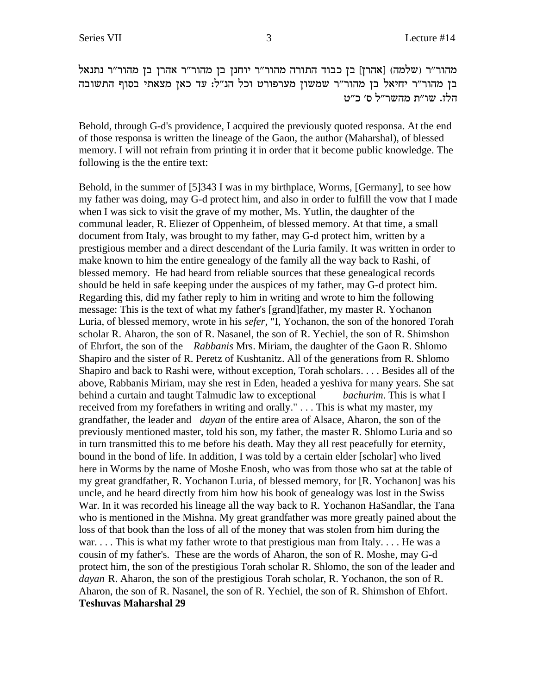'מהור״ר (שלמה) [אהרז] בן כבוד התורה מהור״ר יוחנן בן מהור״ר מהור״ר נתנאל בן מהור"ר יחיאל בן מהור"ר שמשון מערפורט וכל הנ"ל: עד כאן מצאתי בסוף התשובה הלז. שו״ת מהשר״ל ס׳ כ״ט

Behold, through G-d's providence, I acquired the previously quoted responsa. At the end of those responsa is written the lineage of the Gaon, the author (Maharshal), of blessed memory. I will not refrain from printing it in order that it become public knowledge. The following is the the entire text:

Behold, in the summer of [5]343 I was in my birthplace, Worms, [Germany], to see how my father was doing, may G-d protect him, and also in order to fulfill the vow that I made when I was sick to visit the grave of my mother, Ms. Yutlin, the daughter of the communal leader, R. Eliezer of Oppenheim, of blessed memory. At that time, a small document from Italy, was brought to my father, may G-d protect him, written by a prestigious member and a direct descendant of the Luria family. It was written in order to make known to him the entire genealogy of the family all the way back to Rashi, of blessed memory. He had heard from reliable sources that these genealogical records should be held in safe keeping under the auspices of my father, may G-d protect him. Regarding this, did my father reply to him in writing and wrote to him the following message: This is the text of what my father's [grand]father, my master R. Yochanon Luria, of blessed memory, wrote in his *sefer*, "I, Yochanon, the son of the honored Torah scholar R. Aharon, the son of R. Nasanel, the son of R. Yechiel, the son of R. Shimshon of Ehrfort, the son of the *Rabbanis* Mrs. Miriam, the daughter of the Gaon R. Shlomo Shapiro and the sister of R. Peretz of Kushtanitz. All of the generations from R. Shlomo Shapiro and back to Rashi were, without exception, Torah scholars. . . . Besides all of the above, Rabbanis Miriam, may she rest in Eden, headed a yeshiva for many years. She sat behind a curtain and taught Talmudic law to exceptional *bachurim*. This is what I received from my forefathers in writing and orally." . . . This is what my master, my grandfather, the leader and *dayan* of the entire area of Alsace, Aharon, the son of the previously mentioned master, told his son, my father, the master R. Shlomo Luria and so in turn transmitted this to me before his death. May they all rest peacefully for eternity, bound in the bond of life. In addition, I was told by a certain elder [scholar] who lived here in Worms by the name of Moshe Enosh, who was from those who sat at the table of my great grandfather, R. Yochanon Luria, of blessed memory, for [R. Yochanon] was his uncle, and he heard directly from him how his book of genealogy was lost in the Swiss War. In it was recorded his lineage all the way back to R. Yochanon HaSandlar, the Tana who is mentioned in the Mishna. My great grandfather was more greatly pained about the loss of that book than the loss of all of the money that was stolen from him during the war. . . . This is what my father wrote to that prestigious man from Italy. . . . He was a cousin of my father's. These are the words of Aharon, the son of R. Moshe, may G-d protect him, the son of the prestigious Torah scholar R. Shlomo, the son of the leader and *dayan* R. Aharon, the son of the prestigious Torah scholar, R. Yochanon, the son of R. Aharon, the son of R. Nasanel, the son of R. Yechiel, the son of R. Shimshon of Ehfort. **Teshuvas Maharshal 29**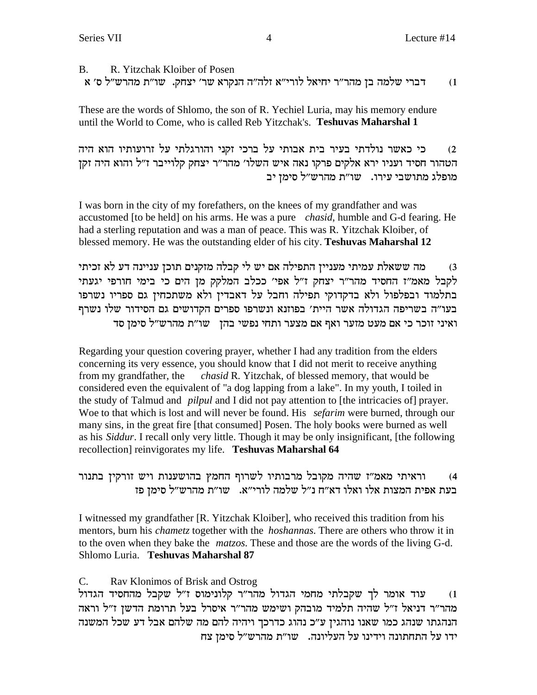B. R. Yitzchak Kloiber of Posen ד וברי שלמה בן מהר״ר יחיאל לורי״א זלה״ה הנקרא שר׳ יצחק. שו״ת מהרש״ל ס׳ א

These are the words of Shlomo, the son of R. Yechiel Luria, may his memory endure until the World to Come, who is called Reb Yitzchak's. **Teshuvas Maharshal 1**

d) כי כאשר נולדתי בעיר בית אבותי על ברכי זקני והורגלתי על זרועותיו הוא היה הטהור חסיד ועניו ירא אלקים פרקו נאה איש השלו׳ מהר״ר יצחק קלוייבר ז״ל והוא היה זקן מופלג מתושבי עירו. שו"ת מהרש"ל סימן יב

I was born in the city of my forefathers, on the knees of my grandfather and was accustomed [to be held] on his arms. He was a pure *chasid*, humble and G-d fearing. He had a sterling reputation and was a man of peace. This was R. Yitzchak Kloiber, of blessed memory. He was the outstanding elder of his city. **Teshuvas Maharshal 12**

מה ששאלת עמיתי מעניין התפילה אם יש לי קבלה מזקנים תוכן עניינה דע לא זכיתי  $\,$ לקבל מאמ"ז החסיד מהר"ר יצחק ז"ל אפי' ככלב המלקק מן הים כי בימי חורפי יגעתי בתלמוד ובפלפול ולא בדקדוקי תפילה וחבל על דאבדין ולא משתכחין גם ספריו נשרפו בעו״ה בשריפה הגדולה אשר היית׳ בפוזנא ונשרפו ספרים הקדושים גם הסידור שלו נשרף ראיני זוכר כי אם מעט מזער ואף אם מצער ותחי נפשי בהן - שו"ת מהרש"ל סימן סד

Regarding your question covering prayer, whether I had any tradition from the elders concerning its very essence, you should know that I did not merit to receive anything from my grandfather, the *chasid* R. Yitzchak, of blessed memory, that would be considered even the equivalent of "a dog lapping from a lake". In my youth, I toiled in the study of Talmud and *pilpul* and I did not pay attention to [the intricacies of] prayer. Woe to that which is lost and will never be found. His *sefarim* were burned, through our many sins, in the great fire [that consumed] Posen. The holy books were burned as well as his *Siddur*. I recall only very little. Though it may be only insignificant, [the following recollection] reinvigorates my life. **Teshuvas Maharshal 64**

### 4) אוראיתי מאמ"ז שהיה מקובל מרבותיו לשרוף החמץ בהושענות ויש זורקין בתנור ה המצות המצות המצות מלו מאלו מצ"ח ו"ל מלמה לורי"א. השו"ת מהרש"ל הימן פ

I witnessed my grandfather [R. Yitzchak Kloiber], who received this tradition from his mentors, burn his *chametz* together with the *hoshannas*. There are others who throw it in to the oven when they bake the *matzos*. These and those are the words of the living G-d. Shlomo Luria. **Teshuvas Maharshal 87**

### C. Rav Klonimos of Brisk and Ostrog

l) עוד אומר לך שקבלתי מחמי הגדול מהר"ר קלונימוס ז"ל שקבל מהחסיד הגדול מהר״ר דניאל ז״ל שהיה תלמיד מובהק ושימש מהר״ר איסרל בעל תרומת הדשן ז״ל וראה הנהגתו שנהג כמו שאנו נוהגין ע״כ נהוג כדרכך ויהיה להם מה שלהם אבל דע שכל המשנה ידו על התחתונה וידינו על העליונה.  $w$ ו"ת מהרש"ל סימן צח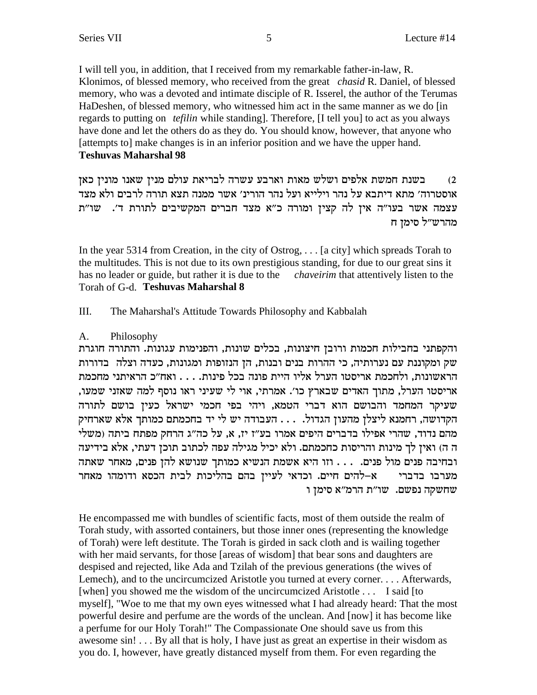I will tell you, in addition, that I received from my remarkable father-in-law, R. Klonimos, of blessed memory, who received from the great *chasid R*. Daniel, of blessed memory, who was a devoted and intimate disciple of R. Isserel, the author of the Terumas HaDeshen, of blessed memory, who witnessed him act in the same manner as we do [in] regards to putting on *tefilin* while standing]. Therefore, [I tell you] to act as you always have done and let the others do as they do. You should know, however, that anyone who [attempts to] make changes is in an inferior position and we have the upper hand. **Teshuvas Maharshal 98** 

בשנת חמשת אלפים ושלש מאות וארבע עשרה לבריאת עולם מנין שאנו מונין כאן  $(2)$ אוסטרוה׳ מתא דיתבא על נהר וילייא ועל נהר הורינ׳ אשר ממנה תצא תורה לרבים ולא מצד עצמה אשר בעו"ה אין לה קצין ומורה כ"א מצד חברים המקשיבים לתורת ד'. שו"ת מהרש״ל סימן ח

In the year 5314 from Creation, in the city of Ostrog,  $\dots$  [a city] which spreads Torah to the multitudes. This is not due to its own prestigious standing, for due to our great sins it has no leader or guide, but rather it is due to the *chaveirim* that attentively listen to the Torah of G-d. Teshuvas Maharshal 8

III. The Maharshal's Attitude Towards Philosophy and Kabbalah

#### $A_{\cdot}$ Philosophy

והקפתני בחבילות חכמות ורובן חיצונות, בכלים שונות, והפנימות עגונות. והתורה חוגרת שק ומקוננת עם נערותיה, כי ההרות בנים ובנות, הן הנזופות ומגונות, כעדה וצלה | בדורות הראשונות, ולחכמת אריסטו הערל אליו היית פונה בכל פינות. . . . ואח״כ הראיתני מחכמת אריסטו הערל, מתוך האדים שבארץ כו׳. אמרתי, אוי לי שעיני ראו נוסף למה שאזני שמעו, שעיקר המחמד והבושם הוא דברי הטמא, ויהי בפי חכמי ישראל כעין בושם לתורה הקדושה, רחמנא ליצלן מהעון הגדול. . . . העבודה יש לי יד בחכמתם כמותך אלא שארחיק מהם נדוד, שהרי אפילו בדברים היפים אמרו בע"ז יז, א, על כה"ג הרחק מפתח ביתה (משלי ה ה) ואין לך מינות והריסות כחכמתם. ולא יכיל מגילה עפה לכתוב תוכן דעתי, אלא בידיעה ובחיבה פנים מול פנים. . . . וזו היא אשמת הנשיא כמותך שנושא להן פנים, מאחר שאתה א–להים חיים. וכדאי לעיין בהם בהליכות לבית הכסא ודומהו מאחר מערבו בדברי שחשקה נפשם. שו״ת הרמ״א סימן ו

He encompassed me with bundles of scientific facts, most of them outside the realm of Torah study, with assorted containers, but those inner ones (representing the knowledge of Torah) were left destitute. The Torah is girded in sack cloth and is wailing together with her maid servants, for those [areas of wisdom] that bear sons and daughters are despised and rejected, like Ada and Tzilah of the previous generations (the wives of Lemech), and to the uncircumcized Aristotle you turned at every corner.... Afterwards, [when] you showed me the wisdom of the uncircumcized Aristotle . . . I said [to myself], "Woe to me that my own eyes witnessed what I had already heard: That the most powerful desire and perfume are the words of the unclean. And [now] it has become like a perfume for our Holy Torah!" The Compassionate One should save us from this awesome sin! . . . By all that is holy, I have just as great an expertise in their wisdom as you do. I, however, have greatly distanced myself from them. For even regarding the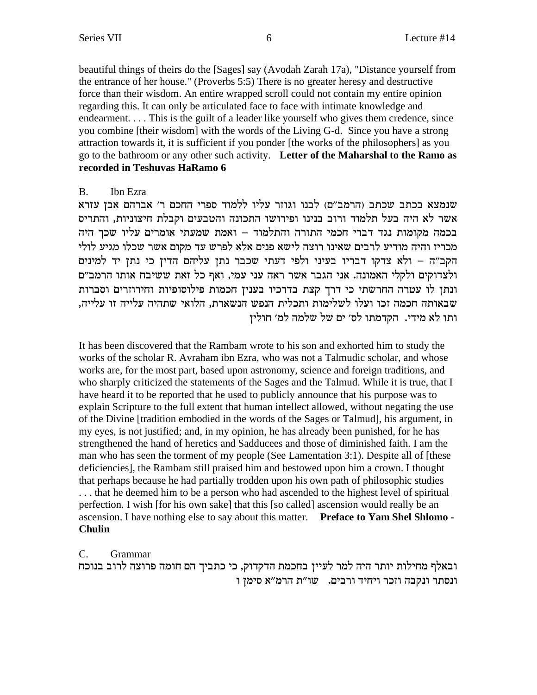beautiful things of theirs do the [Sages] say (Avodah Zarah 17a), "Distance yourself from the entrance of her house." (Proverbs 5:5) There is no greater heresy and destructive force than their wisdom. An entire wrapped scroll could not contain my entire opinion regarding this. It can only be articulated face to face with intimate knowledge and endearment.... This is the guilt of a leader like yourself who gives them credence, since you combine [their wisdom] with the words of the Living G-d. Since you have a strong attraction towards it, it is sufficient if you ponder [the works of the philosophers] as you go to the bathroom or any other such activity. Letter of the Maharshal to the Ramo as recorded in Teshuvas HaRamo 6

#### Ibn Ezra **B.**

שנמצא בכתב שכתב (הרמב״ם) לבנו וגוזר עליו ללמוד ספרי החכם ר׳ אברהם אבן עזרא אשר לא היה בעל תלמוד ורוב בנינו ופירושו התכונה והטבעים וקבלת חיצוניות, והתריס בכמה מקומות נגד דברי חכמי התורה והתלמוד – ואמת שמעתי אומרים עליו שכך היה מכריז והיה מודיע לרבים שאינו רוצה לישא פנים אלא לפרש עד מקום אשר שכלו מגיע לולי הקב"ה – ולא צדקו דבריו בעיני ולפי דעתי שכבר נתן עליהם הדין כי נתן יד למינים ולצדוקים ולקלי האמונה. אני הגבר אשר ראה עני עמי, ואף כל זאת ששיבח אותו הרמב"ם ונתן לו עטרה החרשתי כי דרך קצת בדרכיו בענין חכמות פילוסופיות וחירוזרים וסברות שבאותה חכמה זכו ועלו לשלימות ותכלית הנפש הנשארת, הלואי שתהיה עלייה זו עלייה, ותו לא מידי. הקדמתו לס׳ ים של שלמה למ׳ חולין

It has been discovered that the Rambam wrote to his son and exhorted him to study the works of the scholar R. Avraham ibn Ezra, who was not a Talmudic scholar, and whose works are, for the most part, based upon astronomy, science and foreign traditions, and who sharply criticized the statements of the Sages and the Talmud. While it is true, that I have heard it to be reported that he used to publicly announce that his purpose was to explain Scripture to the full extent that human intellect allowed, without negating the use of the Divine [tradition embodied in the words of the Sages or Talmud], his argument, in my eyes, is not justified; and, in my opinion, he has already been punished, for he has strengthened the hand of heretics and Sadducees and those of diminished faith. I am the man who has seen the torment of my people (See Lamentation 3:1). Despite all of [these deficiencies], the Rambam still praised him and bestowed upon him a crown. I thought that perhaps because he had partially trodden upon his own path of philosophic studies ... that he deemed him to be a person who had ascended to the highest level of spiritual perfection. I wish [for his own sake] that this [so called] ascension would really be an ascension. I have nothing else to say about this matter. Preface to Yam Shel Shlomo -**Chulin** 

 $C_{\cdot}$ Grammar

ובאלף מחילות יותר היה למר לעיין בחכמת הדקדוק, כי כתביך הם חומה פרוצה לרוב בנוכח ונסתר ונקבה וזכר ויחיד ורבים. שו"ת הרמ"א סימן ו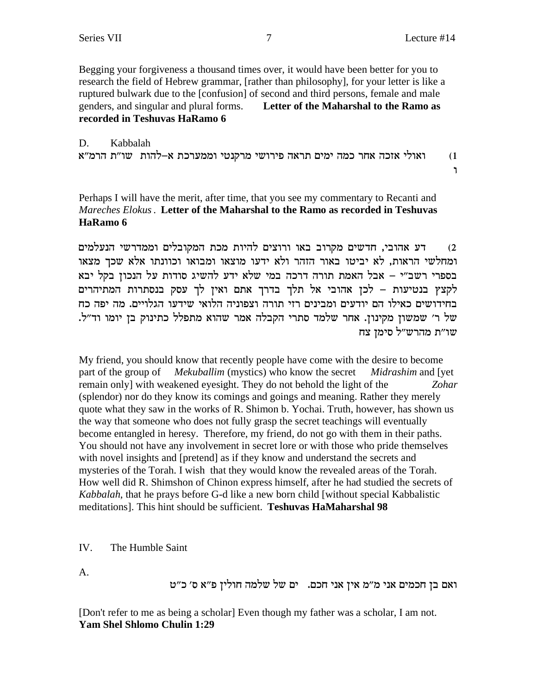Begging your forgiveness a thousand times over, it would have been better for you to research the field of Hebrew grammar, [rather than philosophy], for your letter is like a ruptured bulwark due to the [confusion] of second and third persons, female and male genders, and singular and plural forms. Letter of the Maharshal to the Ramo as recorded in Teshuvas HaRamo 6

D. Kabbalah ואולי אזכה אחר כמה ימים תראה פירושי מרקנטי וממערכת א–להות \_שו״ת הרמ״א  $(1)$ 

 $\mathbf{L}$ 

Perhaps I will have the merit, after time, that you see my commentary to Recanti and Mareches Elokus. Letter of the Maharshal to the Ramo as recorded in Teshuvas HaRamo 6

דע אהובי, חדשים מקרוב באו ורוצים להיות מכת המקובלים וממדרשי הנעלמים  $(2)$ ומחלשי הראות, לא יביטו באור הזהר ולא ידעו מוצאו ומבואו וכוונתו אלא שכך מצאו בספרי רשב״י – אבל האמת תורה דרכה במי שלא ידע להשיג סודות על הנכון בקל יבא לקצץ בנטיעות – לכן אהובי אל תלך בדרך אתם ואין לך עסק בנסתרות המתיהרים בחידושים כאילו הם יודעים ומבינים רזי תורה וצפוניה הלואי שידעו הגלויים. מה יפה כח של ר׳ שמשון מקינון. אחר שלמד סתרי הקבלה אמר שהוא מתפלל כתינוק בן יומו וד"ל. שו"ת מהרש"ל סימן צח

My friend, you should know that recently people have come with the desire to become part of the group of *Mekuballim* (mystics) who know the secret Midrashim and [yet] remain only] with weakened eyesight. They do not behold the light of the Zohar (splendor) nor do they know its comings and goings and meaning. Rather they merely quote what they saw in the works of R. Shimon b. Yochai. Truth, however, has shown us the way that someone who does not fully grasp the secret teachings will eventually become entangled in heresy. Therefore, my friend, do not go with them in their paths. You should not have any involvement in secret lore or with those who pride themselves with novel insights and [pretend] as if they know and understand the secrets and mysteries of the Torah. I wish that they would know the revealed areas of the Torah. How well did R. Shimshon of Chinon express himself, after he had studied the secrets of Kabbalah, that he prays before G-d like a new born child [without special Kabbalistic meditations]. This hint should be sufficient. Teshuvas HaMaharshal 98

 $IV$ The Humble Saint

A.

ואם בן חכמים אני מ״מ אין אני חכם. ים של שלמה חולין פ״א ס׳ כ״ט

[Don't refer to me as being a scholar] Even though my father was a scholar, I am not. Yam Shel Shlomo Chulin 1:29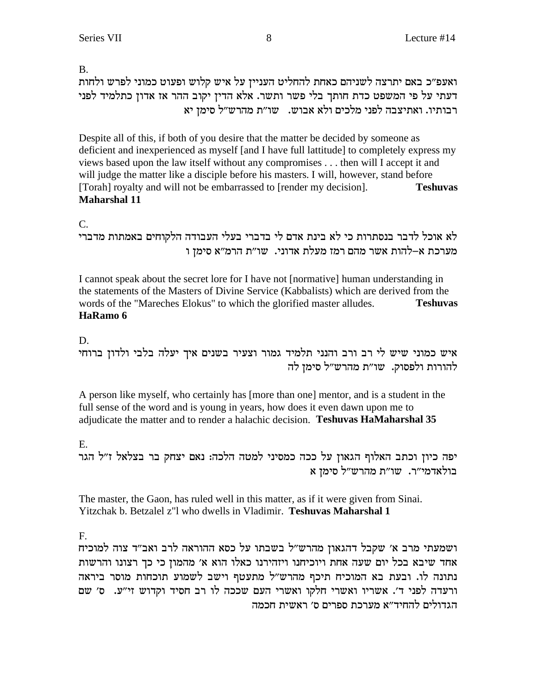B.

ואעפ״כ באם יתרצה לשניהם כאחת להחליט העניין על איש קלוש ופעוט כמוני לפרש ולחות דעתי על פי המשפט כדת חותך בלי פשר ותשר. אלא הדין יקוב ההר אז אדון כתלמיד לפני רבותיו. ואתיצבה לפני מלכים ולא אבוש. משו"ת מהרש"ל סימן יא

Despite all of this, if both of you desire that the matter be decided by someone as deficient and inexperienced as myself [and I have full lattitude] to completely express my views based upon the law itself without any compromises . . . then will I accept it and will judge the matter like a disciple before his masters. I will, however, stand before [Torah] royalty and will not be embarrassed to [render my decision]. **Teshuvas Maharshal 11**

# C.

```
לא אוכל לדבר בנסתרות כי לא בינת אדם לי בדברי בעלי העבודה הלקוחים באמתות מדברי
         מערכת א–להות אשר מהם רמז מעלת אדוני. שו״ת הרמ״א סימן ו
```
I cannot speak about the secret lore for I have not [normative] human understanding in the statements of the Masters of Divine Service (Kabbalists) which are derived from the words of the "Mareches Elokus" to which the glorified master alludes. **Teshuvas HaRamo 6**

### D.

איש כמוני שיש לי רב ורב והנני תלמיד גמור וצעיר בשנים איך יעלה בלבי ולדון ברוחי להורות ולפסוק. שו"ת מהרש"ל סימן לה

A person like myself, who certainly has [more than one] mentor, and is a student in the full sense of the word and is young in years, how does it even dawn upon me to adjudicate the matter and to render a halachic decision. **Teshuvas HaMaharshal 35**

# E.

יפה כיון וכתב האלוף הגאון על ככה כמסיני למטה הלכה: נאם יצחק בר בצלאל ז"ל הגר  $\mathbf x$  בולאדמי"ר. מהרש"ל בולא

The master, the Gaon, has ruled well in this matter, as if it were given from Sinai. Yitzchak b. Betzalel z"l who dwells in Vladimir. **Teshuvas Maharshal 1**

# F.

ושמעתי מרב א' שקבל דהגאון מהרש"ל בשבתו על כסא ההוראה לרב ואב"ד צוה למוכיח אחד שיבא בכל יום שעה אחת ויוכיחנו ויזהירנו כאלו הוא א׳ מהמון כי כך רצונו והרשות נתונה לו. ובעת בא המוכיח תיכף מהרש"ל מתעטף וישב לשמוע תוכחות מוסר ביראה ורעדה לפני ד'. אשריו ואשרי חלקו ואשרי העם שככה לו רב חסיד וקדוש זי"ע. ס' שם הגדולים להחיד״א מערכת ספרים ס׳ ראשית חכמה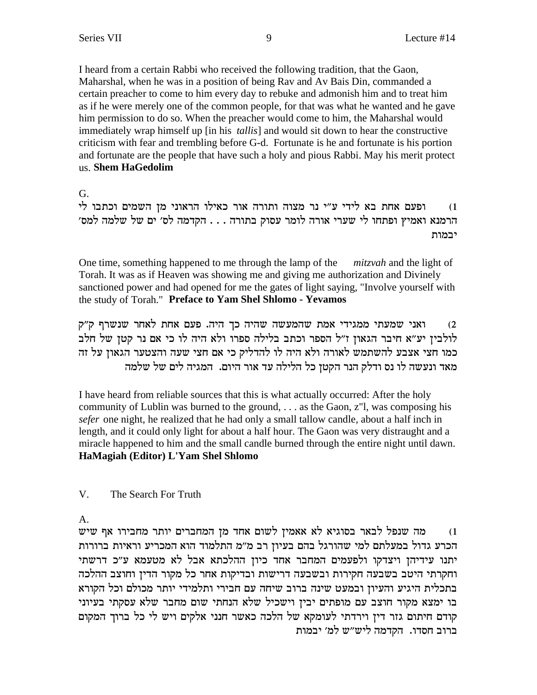I heard from a certain Rabbi who received the following tradition, that the Gaon, Maharshal, when he was in a position of being Rav and Av Bais Din, commanded a certain preacher to come to him every day to rebuke and admonish him and to treat him as if he were merely one of the common people, for that was what he wanted and he gave him permission to do so. When the preacher would come to him, the Maharshal would immediately wrap himself up [in his *tallis*] and would sit down to hear the constructive criticism with fear and trembling before G-d. Fortunate is he and fortunate is his portion and fortunate are the people that have such a holy and pious Rabbi. May his merit protect us. Shem HaGedolim

G.

ופעם אחת בא לידי ע"י נר מצוה ותורה אור כאילו הראוני מן השמים וכתבו לי  $(1)$ הרמנא ואמיץ ופתחו לי שערי אורה לומר עסוק בתורה . . . הקדמה לס׳ ים של שלמה למס׳ יבמות

One time, something happened to me through the lamp of the *mitzvah* and the light of Torah. It was as if Heaven was showing me and giving me authorization and Divinely sanctioned power and had opened for me the gates of light saying, "Involve yourself with the study of Torah." Preface to Yam Shel Shlomo - Yevamos

ואני שמעתי ממגידי אמת שהמעשה שהיה כך היה. פעם אחת לאחר שנשרף ק"ק  $(2)$ לולבין יע״א חיבר הגאון ז״ל הספר וכתב בלילה ספרו ולא היה לו כי אם נר קטן של חלב כמו חצי אצבע להשתמש לאורה ולא היה לו להדליק כי אם חצי שעה והצטער הגאון על זה מאד ונעשה לו נס ודלק הנר הקטן כל הלילה עד אור היום. המגיה לים של שלמה

I have heard from reliable sources that this is what actually occurred: After the holy community of Lublin was burned to the ground,  $\dots$  as the Gaon,  $z$ <sup>"</sup>l, was composing his sefer one night, he realized that he had only a small tallow candle, about a half inch in length, and it could only light for about a half hour. The Gaon was very distraught and a miracle happened to him and the small candle burned through the entire night until dawn. HaMagiah (Editor) L'Yam Shel Shlomo

 $V_{\cdot}$ The Search For Truth

 $A_{-}$ 

מה שנפל לבאר בסוגיא לא אאמין לשום אחד מן המחברים יותר מחבירו אף שיש  $(1)$ הכרע גדול במעלתם למי שהורגל בהם בעיון רב מ״מ התלמוד הוא המכריע וראיות ברורות יתנו עידיהן ויצדקו ולפעמים המחבר אחד כיון ההלכתא אבל לא מטעמא ע"כ דרשתי וחקרתי היטב בשבעה חקירות ובשבעה דרישות ובדיקות אחר כל מקור הדין וחוצב ההלכה בתכלית היגיע והעיון ובמעט שינה ברוב שיחה עם חבירי ותלמידי יותר מכולם וכל הקורא בו ימצא מקור חוצב עם מופתים יבין וישכיל שלא הנחתי שום מחבר שלא עסקתי בעיוני קודם חיתום גזר דין וירדתי לעומקא של הלכה כאשר חנני אלקים ויש לי כל ברוך המקום ברוב חסדו. הקדמה ליש"ש למ' יבמות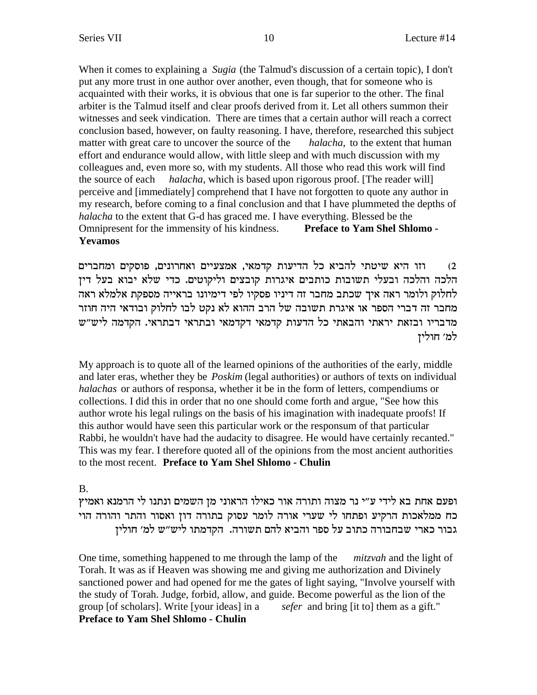When it comes to explaining a *Sugia* (the Talmud's discussion of a certain topic), I don't put any more trust in one author over another, even though, that for someone who is acquainted with their works, it is obvious that one is far superior to the other. The final arbiter is the Talmud itself and clear proofs derived from it. Let all others summon their witnesses and seek vindication. There are times that a certain author will reach a correct conclusion based, however, on faulty reasoning. I have, therefore, researched this subject matter with great care to uncover the source of the *halacha*, to the extent that human effort and endurance would allow, with little sleep and with much discussion with my colleagues and, even more so, with my students. All those who read this work will find the source of each *halacha*, which is based upon rigorous proof. [The reader will] perceive and [immediately] comprehend that I have not forgotten to quote any author in my research, before coming to a final conclusion and that I have plummeted the depths of halacha to the extent that G-d has graced me. I have everything. Blessed be the Omnipresent for the immensity of his kindness. **Preface to Yam Shel Shlomo -Yevamos** 

וזו היא שיטתי להביא כל הדיעות קדמאי, אמצעיים ואחרונים, פוסקים ומחברים  $(2)$ הלכה והלכה ובעלי תשובות כותבים איגרות קובצים וליקוטים. כדי שלא יבוא בעל דין לחלוק ולומר ראה איך שכתב מחבר זה דיניו פסקיו לפי דימיונו בראייה מספקת אלמלא ראה מחבר זה דברי הספר או איגרת תשובה של הרב ההוא לא נקט לבו לחלוק ובודאי היה חוזר מדבריו ובזאת יראתי והבאתי כל הדעות קדמאי דקדמאי ובתראי דבתראי. הקדמה ליש"ש למ׳ חוליז

My approach is to quote all of the learned opinions of the authorities of the early, middle and later eras, whether they be *Poskim* (legal authorities) or authors of texts on individual halachas or authors of responsa, whether it be in the form of letters, compendiums or collections. I did this in order that no one should come forth and argue, "See how this author wrote his legal rulings on the basis of his imagination with inadequate proofs! If this author would have seen this particular work or the responsum of that particular Rabbi, he wouldn't have had the audacity to disagree. He would have certainly recanted." This was my fear. I therefore quoted all of the opinions from the most ancient authorities to the most recent. Preface to Yam Shel Shlomo - Chulin

#### **B.**

ופעם אחת בא לידי ע״י נר מצוה ותורה אור כאילו הראוני מן השמים ונתנו לי הרמנא ואמיץ כח ממלאכות הרקיע ופתחו לי שערי אורה לומר עסוק בתורה דון ואסור והתר והורה הוי גבור כארי שבחבורה כתוב על ספר והביא להם תשורה.<sup>'</sup> הקדמתו ליש"ש למ' חולין

One time, something happened to me through the lamp of the *mitzvah* and the light of Torah. It was as if Heaven was showing me and giving me authorization and Divinely sanctioned power and had opened for me the gates of light saying, "Involve yourself with the study of Torah. Judge, forbid, allow, and guide. Become powerful as the lion of the group [of scholars]. Write [your ideas] in a *sefer* and bring [it to] them as a gift." **Preface to Yam Shel Shlomo - Chulin**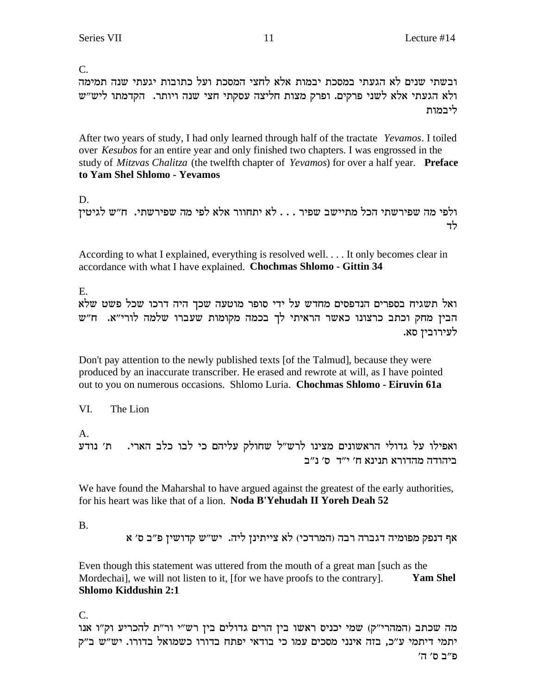$\overline{C}$ .

ובשתי שנים לא הגעתי במסכת יבמות אלא לחצי המסכת ועל כתובות יגעתי שנה תמימה ולא הגעתי אלא לשני פרקים. ופרק מצות חליצה עסקתי חצי שנה ויותר. הקדמתו ליש״ש ליבמות

After two years of study, I had only learned through half of the tractate Yevamos. I toiled over *Kesubos* for an entire year and only finished two chapters. I was engrossed in the study of Mitzvas Chalitza (the twelfth chapter of Yevamos) for over a half year. Preface to Yam Shel Shlomo - Yevamos

D.

ולפי מה שפירשתי הכל מתיישב שפיר . . . לא יתחוור אלא לפי מה שפירשתי. ח"ש לגיטין לד

According to what I explained, everything is resolved well. . . . It only becomes clear in accordance with what I have explained. Chochmas Shlomo - Gittin 34

 $E_{\rm{L}}$ 

ואל תשגיח בספרים הנדפסים מחדש על ידי סופר מוטעה שכך היה דרכו שכל פשט שלא הבין מחק וכתב כרצונו כאשר הראיתי לך בכמה מקומות שעברו שלמה לורי"א. ח"ש לעירובין סא.

Don't pay attention to the newly published texts [of the Talmud], because they were produced by an inaccurate transcriber. He erased and rewrote at will, as I have pointed out to you on numerous occasions. Shlomo Luria. Chochmas Shlomo - Eiruvin 61a

VI. The Lion

 $\mathbf{A}$ 

ואפילו על גדולי הראשונים מצינו לרש"ל שחולק עליהם כי לבו כלב הארי. ת' נודע ביהודה מהדורא תנינא ח' י"ד ס' נ"ב

We have found the Maharshal to have argued against the greatest of the early authorities, for his heart was like that of a lion. Noda B'Yehudah II Yoreh Deah 52

**B.** 

אף דנפק מפומיה דגברה רבה (המרדכי) לא צייתינן ליה. יש״ש קדושין פ״ב ס׳ א

Even though this statement was uttered from the mouth of a great man [such as the Mordechail, we will not listen to it, [for we have proofs to the contrary]. **Yam Shel** Shlomo Kiddushin 2:1

 $C_{\cdot}$ 

מה שכתב (המהרי"ק) שמי יכניס ראשו בין הרים גדולים בין רש"י ור"ת להכריע וק"ו אנו יתמי דיתמי ע"כ, בזה אינני מסכים עמו כי בודאי יפתח בדורו כשמואל בדורו. יש"ש ב"ק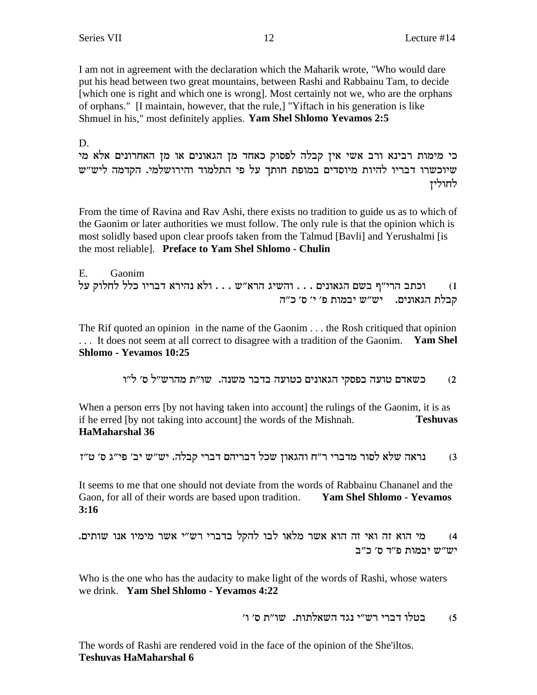I am not in agreement with the declaration which the Maharik wrote, "Who would dare" put his head between two great mountains, between Rashi and Rabbainu Tam, to decide [which one is right and which one is wrong]. Most certainly not we, who are the orphans of orphans." I maintain, however, that the rule,] "Yiftach in his generation is like Shmuel in his," most definitely applies. Yam Shel Shlomo Yevamos 2:5

D.

כי מימות רבינא ורב אשי אין קבלה לפסוק כאחד מן הגאונים או מן האחרונים אלא מי שיוכשרו דבריו להיות מיוסדים במופת חותך על פי התלמוד והירושלמי. הקדמה ליש״ש לחוליז

From the time of Ravina and Rav Ashi, there exists no tradition to guide us as to which of the Gaonim or later authorities we must follow. The only rule is that the opinion which is most solidly based upon clear proofs taken from the Talmud [Bavli] and Yerushalmi [is the most reliable]. Preface to Yam Shel Shlomo - Chulin

 $E_{\perp}$ Gaonim וכתב הרי"ף בשם הגאונים . . . והשיג הרא"ש . . . ולא נהירא דבריו כלל לחלוק על  $(1)$ קבלת הגאונים. יש״ש יבמות פ׳ י׳ ס׳ כ״ה

The Rif quoted an opinion in the name of the Gaonim . . . the Rosh critiqued that opinion ... It does not seem at all correct to disagree with a tradition of the Gaonim. Yam Shel Shlomo - Yevamos 10:25

> כשאדם טועה בפסקי הגאונים כטועה בדבר משנה. שו״ת מהרש״ל ס׳ ל״ו  $(2)$

When a person errs (by not having taken into account) the rulings of the Gaonim, it is as if he erred [by not taking into account] the words of the Mishnah. **Teshuvas** HaMaharshal 36

נראה שלא לסור מדברי ר"ח והגאון שכל דבריהם דברי קבלה. יש"ש יב' פי"ג ס' ט"ז  $(3)$ 

It seems to me that one should not deviate from the words of Rabbainu Chananel and the Gaon, for all of their words are based upon tradition. Yam Shel Shlomo - Yevamos  $3:16$ 

מי הוא זה ואי זה הוא אשר מלאו לבו להקל בדברי רש״י אשר מימיו אנו שותים.  $(4)$ יש"ש יבמות פ"ד ס' כ"ב

Who is the one who has the audacity to make light of the words of Rashi, whose waters we drink. Yam Shel Shlomo - Yevamos 4:22

> בטלו דברי רש״י נגד השאלתות. שו״ת ס׳ ו׳  $(5)$

The words of Rashi are rendered void in the face of the opinion of the She'iltos. **Teshuvas HaMaharshal 6**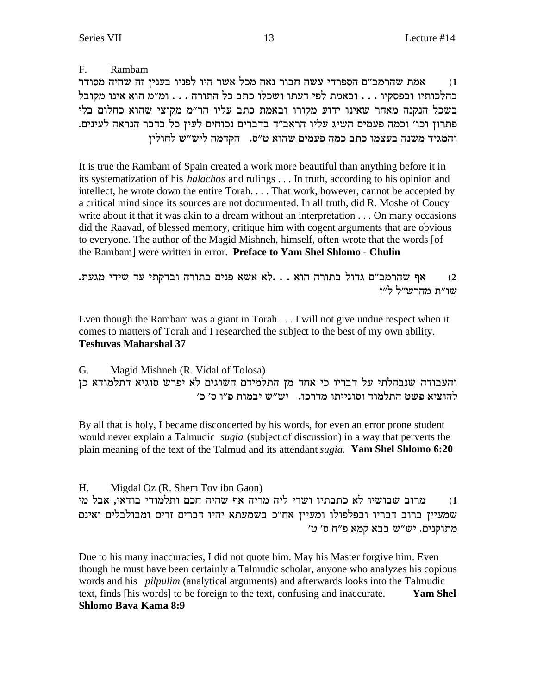$F_{\cdot}$ Rambam אמת שהרמב״ם הספרדי עשה חבור נאה מכל אשר היו לפניו בענין זה שהיה מסודר  $(1)$ בהלכותיו ובפסקיו . . . ובאמת לפי דעתו ושכלו כתב כל התורה . . . ומ"מ הוא אינו מקובל בשכל הנקנה מאחר שאינו ידוע מקורו ובאמת כתב עליו הר"מ מקוצי שהוא כחלום בלי פתרון וכו׳ וכמה פעמים השיג עליו הראב״ד בדברים נכוחים לעין כל בדבר הנראה לעינים. והמגיד משנה בעצמו כתב כמה פעמים שהוא ט״ס. הקדמה ליש״ש לחולין

It is true the Rambam of Spain created a work more beautiful than anything before it in its systematization of his *halachos* and rulings . . . In truth, according to his opinion and intellect, he wrote down the entire Torah. . . . That work, however, cannot be accepted by a critical mind since its sources are not documented. In all truth, did R. Moshe of Coucy write about it that it was akin to a dream without an interpretation  $\dots$  On many occasions did the Raavad, of blessed memory, critique him with cogent arguments that are obvious to everyone. The author of the Magid Mishneh, himself, often wrote that the words [of the Rambam] were written in error. Preface to Yam Shel Shlomo - Chulin

אף שהרמב"ם גדול בתורה הוא . . .לא אשא פנים בתורה ובדקתי עד שידי מגעת.  $(2)$ שו״ת מהרש״ל ל״ז

Even though the Rambam was a giant in Torah  $\dots$  I will not give undue respect when it comes to matters of Torah and I researched the subject to the best of my own ability. **Teshuvas Maharshal 37** 

G. Magid Mishneh (R. Vidal of Tolosa) והעבודה שנבהלתי על דבריו כי אחד מן התלמידם השוגים לא יפרש סוגיא דתלמודא כן להוציא פשט התלמוד וסוגייתו מדרכו. יש״ש יבמות פ״ו ס׳ כ׳

By all that is holy, I became disconcerted by his words, for even an error prone student would never explain a Talmudic *sugia* (subject of discussion) in a way that perverts the plain meaning of the text of the Talmud and its attendant *sugia*. Yam Shel Shlomo 6:20

Migdal Oz (R. Shem Tov ibn Gaon) H. מרוב שבושיו לא כתבתיו ושרי ליה מריה אף שהיה חכם ותלמודי בודאי, אבל מי  $(1)$ שמעיין ברוב דבריו ובפלפולו ומעיין אח"כ בשמעתא יהיו דברים זרים ומבולבלים ואינם מתוקנים. יש"ש בבא קמא פ"ח ס' ט'

Due to his many inaccuracies, I did not quote him. May his Master forgive him. Even though he must have been certainly a Talmudic scholar, anyone who analyzes his copious words and his *pilpulim* (analytical arguments) and afterwards looks into the Talmudic text, finds [his words] to be foreign to the text, confusing and inaccurate. **Yam Shel** Shlomo Bava Kama 8:9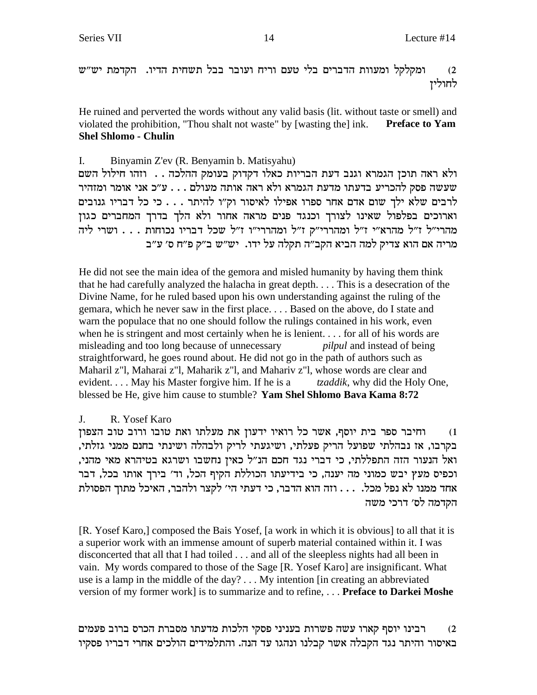ומקלקל ומעוות הדברים בלי טעם וריח ועובר בבל תשחית הדיו. הקדמת יש"ש  $(2)$ לחוליז

He ruined and perverted the words without any valid basis (lit. without taste or smell) and violated the prohibition, "Thou shalt not waste" by [wasting the] ink. **Preface to Yam Shel Shlomo - Chulin** 

Binyamin Z'ev (R. Benyamin b. Matisyahu) I. ולא ראה תוכן הגמרא וגנב דעת הבריות כאלו דקדוק בעומק ההלכה . . וזהו חילול השם ינשה פסק להכריע בדעתו מדעת הגמרא ולא ראה אותה מעולם . . . ע"כ אני אומר ומזהיר שעשה פסק לרבים שלא ילך שום אדם אחר ספרו אפילו לאיסור וק"ו להיתר . . . כי כל דבריו גנובים וארוכים בפלפול שאינו לצורך וכנגד פנים מראה אחור ולא הלך בדרך המחברים כגון מהרי"ל ז"ל מהרא"י ז"ל ומהררי"ק ז"ל ומהררי"ו ז"ל שכל דבריו נכוחות . . . ושרי ליה מריה אם הוא צדיק למה הביא הקב״ה תקלה על ידו. יש״ש ב״ק פ״ח ס׳ ע״ב

He did not see the main idea of the gemora and misled humanity by having them think that he had carefully analyzed the halacha in great depth.... This is a desecration of the Divine Name, for he ruled based upon his own understanding against the ruling of the gemara, which he never saw in the first place.... Based on the above, do I state and warn the populace that no one should follow the rulings contained in his work, even when he is stringent and most certainly when he is lenient... for all of his words are misleading and too long because of unnecessary *pilpul* and instead of being straightforward, he goes round about. He did not go in the path of authors such as Maharil z"l, Maharai z"l, Maharik z"l, and Mahariv z"l, whose words are clear and evident... May his Master forgive him. If he is a *tzaddik*, why did the Holy One, blessed be He, give him cause to stumble? Yam Shel Shlomo Bava Kama 8:72

#### $J_{\cdot}$ R. Yosef Karo

וחיבר ספר בית יוסף, אשר כל רואיו ידעון את מעלתו ואת טובו ורוב טוב הצפון  $(1)$ בקרבו, אז נבהלתי שפועל הריק פעלתי, ושיגעתי לריק ולבהלה ושינתי בחנם ממני גזלתי, ואל הנעור הזה התפללתי, כי דברי נגד חכם הנ"ל כאיז נחשבו ושרגא בטיהרא מאי מהני, וכפיס מעץ יבש כמוני מה יענה, כי בידיעתו הכוללת הקיף הכל, וד׳ בירך אותו בכל, דבר אחד ממנו לא נפל מכל. . . . וזה הוא הדבר, כי דעתי הי׳ לקצר ולהבר, האיכל מתוך הפסולת הקדמה לס׳ דרכי משה

[R. Yosef Karo,] composed the Bais Yosef, [a work in which it is obvious] to all that it is a superior work with an immense amount of superb material contained within it. I was disconcerted that all that I had toiled . . . and all of the sleepless nights had all been in vain. My words compared to those of the Sage [R. Yosef Karo] are insignificant. What use is a lamp in the middle of the day?... My intention [in creating an abbreviated version of my former work] is to summarize and to refine, ... Preface to Darkei Moshe

רבינו יוסף קארו עשה פשרות בעניני פסקי הלכות מדעתו מסברת הכרס ברוב פעמים  $(2)$ באיסור והיתר נגד הקבלה אשר קבלנו ונהגו עד הנה. והתלמידים הולכים אחרי דבריו פסקיו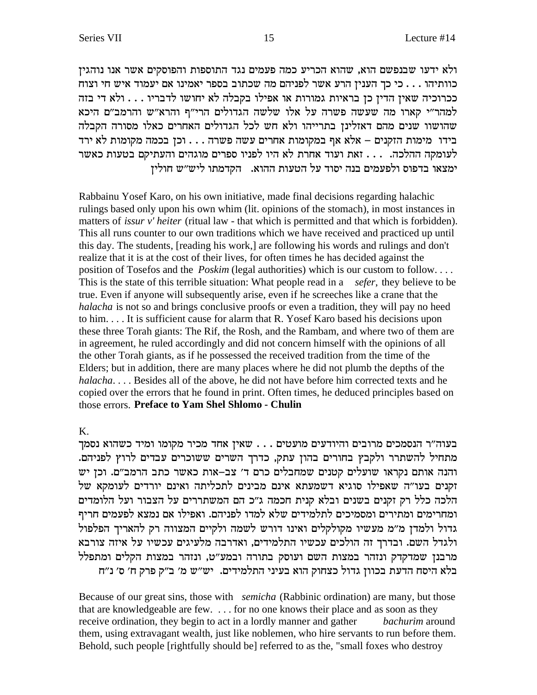ולא ידעו שבנפשם הוא, שהוא הכריע כמה פעמים נגד התוספות והפוסקים אשר אנו נוהגין כוותיהו . . . כי כך הענין הרע אשר לפניהם מה שכתוב בספר יאמינו אם יעמוד איש חי וצוח ככרוכיה שאין הדין כן בראיות גמורות או אפילו בקבלה לא יחושו לדבריו . . . ולא די בזה למהר"י קארו מה שעשה פשרה על אלו שלשה הגדולים הרי"ף והרא"ש והרמב"ם היכא שהושוו שנים מהם דאזלינן בתרייהו ולא חש לכל הגדולים האחרים כאלו מסורה הקבלה בידו מימות הזקנים – אלא אף במקומות אחרים עשה פשרה . . . וכן בכמה מקומות לא ירד לעומקה ההלכה. . . . זאת ועוד אחרת לא היו לפניו ספרים מוגהים והעתיקם בטעות כאשר ימצאו בדפוס ולפעמים בנה יסוד על הטעות ההוא. הקדמתו ליש״ש חולין

Rabbainu Yosef Karo, on his own initiative, made final decisions regarding halachic rulings based only upon his own whim (lit. opinions of the stomach), in most instances in matters of *issur v'heiter* (ritual law - that which is permitted and that which is forbidden). This all runs counter to our own traditions which we have received and practiced up until this day. The students, [reading his work,] are following his words and rulings and don't realize that it is at the cost of their lives, for often times he has decided against the position of Tosefos and the *Poskim* (legal authorities) which is our custom to follow.... This is the state of this terrible situation: What people read in a sefer, they believe to be true. Even if anyone will subsequently arise, even if he screeches like a crane that the halacha is not so and brings conclusive proofs or even a tradition, they will pay no heed to him.... It is sufficient cause for alarm that R. Yosef Karo based his decisions upon these three Torah giants: The Rif, the Rosh, and the Rambam, and where two of them are in agreement, he ruled accordingly and did not concern himself with the opinions of all the other Torah giants, as if he possessed the received tradition from the time of the Elders; but in addition, there are many places where he did not plumb the depths of the halacha.... Besides all of the above, he did not have before him corrected texts and he copied over the errors that he found in print. Often times, he deduced principles based on those errors. Preface to Yam Shel Shlomo - Chulin

#### K.

בעוה"ר הנסמכים מרובים והיודעים מועטים . . . שאין אחד מכיר מקומו ומיד כשהוא נסמך מתחיל להשתרר ולקבץ בחורים בהון עתק, כדרך השרים ששוכרים עבדים לרוץ לפניהם. והנה אותם נקראו שועלים קטנים שמחבלים כרם ד' צב-אות כאשר כתב הרמב"ם. וכן יש זקנים בעו"ה שאפילו סוגיא דשמעתא אינם מבינים לתכליתה ואינם יורדים לעומקא של הלכה כלל רק זקנים בשנים ובלא קנית חכמה ג"כ הם המשתררים על הצבור ועל הלומדים ומחרימים ומתירים ומסמיכים לתלמידים שלא למדו לפניהם. ואפילו אם נמצא לפעמים חריף גדול ולמדן מ"מ מעשיו מקולקלים ואינו דורש לשמה ולקיים המצווה רק להאריך הפלפול ולגדל השם. ובדרך זה הולכים עכשיו התלמידים, ואדרבה מלעיגים עכשיו על איזה צורבא מרבנן שמדקדק ונזהר במצות השם ועוסק בתורה ובמע"ט, ונזהר במצות הקלים ומתפלל .<br>בלא היסח הדעת בכוון גדול כצחוק הוא בעיני התלמידים. יש"ש מ' ב"ק פרק ח' ס' נ"ח

Because of our great sins, those with *semicha* (Rabbinic ordination) are many, but those that are knowledgeable are few. . . . for no one knows their place and as soon as they receive ordination, they begin to act in a lordly manner and gather *bachurim* around them, using extravagant wealth, just like noblemen, who hire servants to run before them. Behold, such people [rightfully should be] referred to as the, "small foxes who destroy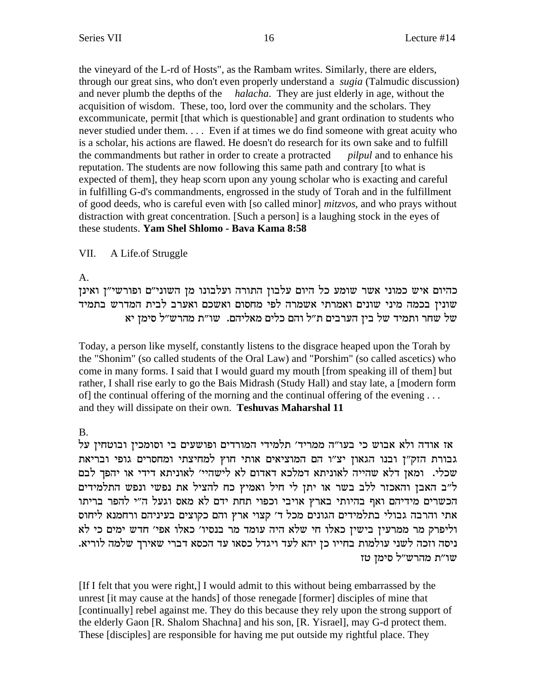the vineyard of the L-rd of Hosts", as the Rambam writes. Similarly, there are elders, through our great sins, who don't even properly understand a *sugia* (Talmudic discussion) and never plumb the depths of the *halacha*. They are just elderly in age, without the acquisition of wisdom. These, too, lord over the community and the scholars. They excommunicate, permit [that which is questionable] and grant ordination to students who never studied under them. . . . Even if at times we do find someone with great acuity who is a scholar, his actions are flawed. He doesn't do research for its own sake and to fulfill the commandments but rather in order to create a protracted *pilpul* and to enhance his reputation. The students are now following this same path and contrary [to what is expected of them], they heap scorn upon any young scholar who is exacting and careful in fulfilling G-d's commandments, engrossed in the study of Torah and in the fulfillment of good deeds, who is careful even with [so called minor] *mitzvos*, and who prays without distraction with great concentration. [Such a person] is a laughing stock in the eyes of these students. **Yam Shel Shlomo - Bava Kama 8:58**

### VII. A Life.of Struggle

A.

כהיום איש כמוני אשר שומע כל היום עלבון התורה ועלבונו מן השוני"ם ופורשי"ן ואינן שונין בכמה מיני שונים ואמרתי אשמרה לפי מחסום ואשכם ואערב לבית המדרש בתמיד הליהם. שו"ת מהרש"ל סימן יא של בין הערבים ת"ל והם כלים מאליהם. שו"ת מהרש"ל סימן יא **D** 

Today, a person like myself, constantly listens to the disgrace heaped upon the Torah by the "Shonim" (so called students of the Oral Law) and "Porshim" (so called ascetics) who come in many forms. I said that I would guard my mouth [from speaking ill of them] but rather, I shall rise early to go the Bais Midrash (Study Hall) and stay late, a [modern form of] the continual offering of the morning and the continual offering of the evening . . . and they will dissipate on their own. **Teshuvas Maharshal 11**

B.

ודה ולא אבוש כי בעו"ה ממריד' תלמידי המורדים ופושעים בי וסומכין ובוטחין על גבורת הזק"ן ובנו הגאון יצ"ו הם המוציאים אותי חוץ למחיצתי ומחסרים גופי ובריאת שכלי. ומאן דלא שהייה לאוניתא דמלכא דאדום לא לישהיי' לאוניתא דידי או יהפך לבם ל"ב האבן והאכזר ללב בשר או יתן לי חיל ואמיץ כח להציל את נפשי ונפש התלמידים הכשרים מידיהם ואף בהיותי בארץ אויבי וכפוי תחת ידם לא מאס וגעל ה"י להפר בריתו אתי והרבה גבולי בתלמידים הגונים מכל ד׳ קצוי ארץ והם כקוצים בעיניהם ורחמנא ליחוס וליפרק מר ממרעין בישין כאלו חי שלא היה עומד מר בנסיו׳ כאלו אפי׳ חדש ימים כי לא .<br>ניסה וזכה לשני עולמות בחייו כן יהא לעד ויגדל כסאו עד הכסא דברי שאירך שלמה לוריא שו"ת מהרש"ל סימן טז

[If I felt that you were right,] I would admit to this without being embarrassed by the unrest [it may cause at the hands] of those renegade [former] disciples of mine that [continually] rebel against me. They do this because they rely upon the strong support of the elderly Gaon [R. Shalom Shachna] and his son, [R. Yisrael], may G-d protect them. These [disciples] are responsible for having me put outside my rightful place. They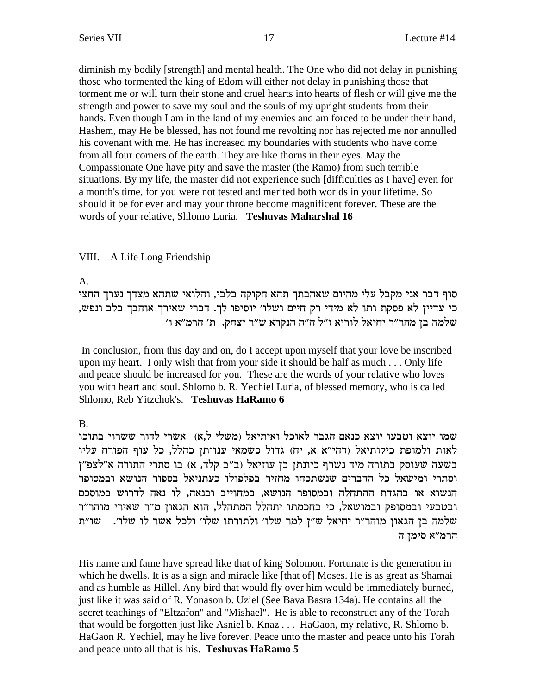diminish my bodily [strength] and mental health. The One who did not delay in punishing those who tormented the king of Edom will either not delay in punishing those that torment me or will turn their stone and cruel hearts into hearts of flesh or will give me the strength and power to save my soul and the souls of my upright students from their hands. Even though I am in the land of my enemies and am forced to be under their hand, Hashem, may He be blessed, has not found me revolting nor has rejected me nor annulled his covenant with me. He has increased my boundaries with students who have come from all four corners of the earth. They are like thorns in their eyes. May the Compassionate One have pity and save the master (the Ramo) from such terrible situations. By my life, the master did not experience such [difficulties as I have] even for a month's time, for you were not tested and merited both worlds in your lifetime. So should it be for ever and may your throne become magnificent forever. These are the words of your relative, Shlomo Luria. **Teshuvas Maharshal 16**

### VIII. A Life Long Friendship

A.

סוף דבר אני מקבל עלי מהיום שאהבתך תהא חקוקה בלבי, והלואי שתהא מצדך נערך החצי , כי עדיין לא פסקת ותו לא מידי רק חיים ושלו׳ יוסיפו לך. דברי שאירך אוהבך בלב ונפש 'שלמה בן מהר"ר יחיאל לוריא ז"ל ה"ה הנקרא ש"ר יצחק. ת' הרמ"א ו

 In conclusion, from this day and on, do I accept upon myself that your love be inscribed upon my heart. I only wish that from your side it should be half as much . . . Only life and peace should be increased for you. These are the words of your relative who loves you with heart and soul. Shlomo b. R. Yechiel Luria, of blessed memory, who is called Shlomo, Reb Yitzchok's. **Teshuvas HaRamo 6**

B.

שמו יוצא וטבעו יוצא כנאם הגבר לאוכל ואיתיאל (משלי ל.א) אשרי לדור ששרוי בתוכו  $w$ לאות ולמופת כיקותיאל (דהי"א א, יח) גדול כשמאי ענוותן כהלל, כל עוף הפורח עליו בשעה שעוסק בתורה מיד נשרף כיונתן בן עוזיאל (ב"ב קלד, א) בו סתרי התורה א"לצפ"ן וסתרי ומישאל כל הדברים שנשתכחו מחזיר בפלפולו כעתניאל בספור הנושא ובמסופר הנשוא או בהגדת ההתחלה ובמסופר הנושא, במחוייב ובנאה, לו נאה לדרוש במוסכם ובטבעי ובמסופק ובמושאל, כי בחכמתו יתהלל המתהלל, הוא הגאון מ"ר שאירי מוהר"ר שלמה בן הגאון מוהר"ר יחיאל ש"ן למר שלו' ולתורתו שלו' ולכל אשר לו שלו'. מו"ת הרמ"א סימן ה

His name and fame have spread like that of king Solomon. Fortunate is the generation in which he dwells. It is as a sign and miracle like [that of] Moses. He is as great as Shamai and as humble as Hillel. Any bird that would fly over him would be immediately burned, just like it was said of R. Yonason b. Uziel (See Bava Basra 134a). He contains all the secret teachings of "Eltzafon" and "Mishael". He is able to reconstruct any of the Torah that would be forgotten just like Asniel b. Knaz . . . HaGaon, my relative, R. Shlomo b. HaGaon R. Yechiel, may he live forever. Peace unto the master and peace unto his Torah and peace unto all that is his. **Teshuvas HaRamo 5**